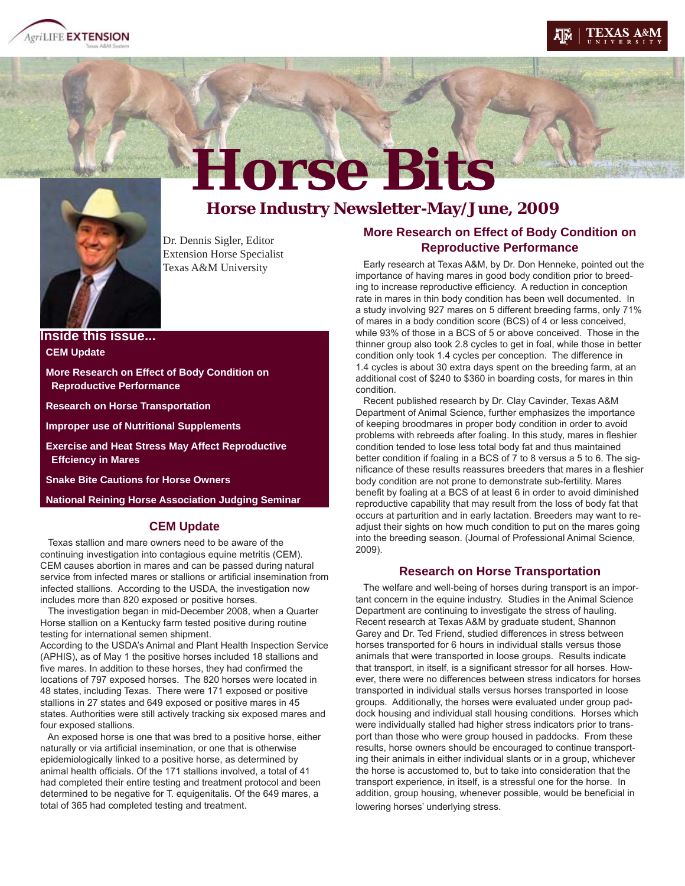





Horse Bits<br>Horse Industry Newsletter-May/June, 2009

Dr. Dennis Sigler, Editor Extension Horse Specialist Texas A&M University

**Inside this issue... CEM Update**

 **More Research on Effect of Body Condition on Reproductive Performance**

 **Research on Horse Transportation**

 **Improper use of Nutritional Supplements**

 **Exercise and Heat Stress May Affect Reproductive Effciency in Mares**

 **Snake Bite Cautions for Horse Owners**

 **National Reining Horse Association Judging Seminar**

### **CEM Update**

 Texas stallion and mare owners need to be aware of the continuing investigation into contagious equine metritis (CEM). CEM causes abortion in mares and can be passed during natural service from infected mares or stallions or artificial insemination from infected stallions. According to the USDA, the investigation now includes more than 820 exposed or positive horses.

 The investigation began in mid-December 2008, when a Quarter Horse stallion on a Kentucky farm tested positive during routine testing for international semen shipment.

According to the USDA's Animal and Plant Health Inspection Service (APHIS), as of May 1 the positive horses included 18 stallions and five mares. In addition to these horses, they had confirmed the locations of 797 exposed horses. The 820 horses were located in 48 states, including Texas. There were 171 exposed or positive stallions in 27 states and 649 exposed or positive mares in 45 states. Authorities were still actively tracking six exposed mares and four exposed stallions.

 An exposed horse is one that was bred to a positive horse, either naturally or via artificial insemination, or one that is otherwise epidemiologically linked to a positive horse, as determined by animal health officials. Of the 171 stallions involved, a total of 41 had completed their entire testing and treatment protocol and been determined to be negative for T. equigenitalis. Of the 649 mares, a total of 365 had completed testing and treatment.

# **More Research on Effect of Body Condition on Reproductive Performance**

 Early research at Texas A&M, by Dr. Don Henneke, pointed out the importance of having mares in good body condition prior to breeding to increase reproductive efficiency. A reduction in conception rate in mares in thin body condition has been well documented. In a study involving 927 mares on 5 different breeding farms, only 71% of mares in a body condition score (BCS) of 4 or less conceived, while 93% of those in a BCS of 5 or above conceived. Those in the thinner group also took 2.8 cycles to get in foal, while those in better condition only took 1.4 cycles per conception. The difference in 1.4 cycles is about 30 extra days spent on the breeding farm, at an additional cost of \$240 to \$360 in boarding costs, for mares in thin condition.

 Recent published research by Dr. Clay Cavinder, Texas A&M Department of Animal Science, further emphasizes the importance of keeping broodmares in proper body condition in order to avoid problems with rebreeds after foaling. In this study, mares in fleshier condition tended to lose less total body fat and thus maintained better condition if foaling in a BCS of 7 to 8 versus a 5 to 6. The significance of these results reassures breeders that mares in a fleshier body condition are not prone to demonstrate sub-fertility. Mares benefit by foaling at a BCS of at least 6 in order to avoid diminished reproductive capability that may result from the loss of body fat that occurs at parturition and in early lactation. Breeders may want to readjust their sights on how much condition to put on the mares going into the breeding season. (Journal of Professional Animal Science, 2009).

### **Research on Horse Transportation**

 The welfare and well-being of horses during transport is an important concern in the equine industry. Studies in the Animal Science Department are continuing to investigate the stress of hauling. Recent research at Texas A&M by graduate student, Shannon Garey and Dr. Ted Friend, studied differences in stress between horses transported for 6 hours in individual stalls versus those animals that were transported in loose groups. Results indicate that transport, in itself, is a significant stressor for all horses. However, there were no differences between stress indicators for horses transported in individual stalls versus horses transported in loose groups. Additionally, the horses were evaluated under group paddock housing and individual stall housing conditions. Horses which were individually stalled had higher stress indicators prior to transport than those who were group housed in paddocks. From these results, horse owners should be encouraged to continue transporting their animals in either individual slants or in a group, whichever the horse is accustomed to, but to take into consideration that the transport experience, in itself, is a stressful one for the horse. In addition, group housing, whenever possible, would be beneficial in lowering horses' underlying stress.